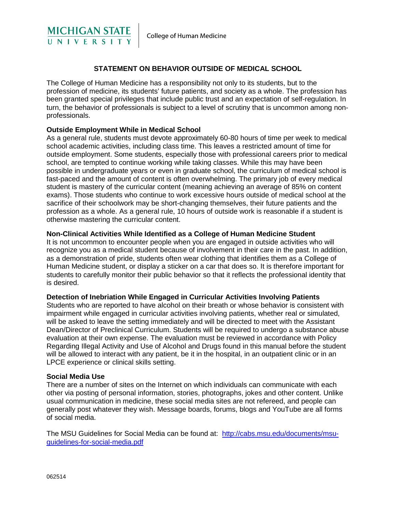

# **STATEMENT ON BEHAVIOR OUTSIDE OF MEDICAL SCHOOL**

The College of Human Medicine has a responsibility not only to its students, but to the profession of medicine, its students' future patients, and society as a whole. The profession has been granted special privileges that include public trust and an expectation of self-regulation. In turn, the behavior of professionals is subject to a level of scrutiny that is uncommon among nonprofessionals.

## **Outside Employment While in Medical School**

As a general rule, students must devote approximately 60-80 hours of time per week to medical school academic activities, including class time. This leaves a restricted amount of time for outside employment. Some students, especially those with professional careers prior to medical school, are tempted to continue working while taking classes. While this may have been possible in undergraduate years or even in graduate school, the curriculum of medical school is fast-paced and the amount of content is often overwhelming. The primary job of every medical student is mastery of the curricular content (meaning achieving an average of 85% on content exams). Those students who continue to work excessive hours outside of medical school at the sacrifice of their schoolwork may be short-changing themselves, their future patients and the profession as a whole. As a general rule, 10 hours of outside work is reasonable if a student is otherwise mastering the curricular content.

### **Non-Clinical Activities While Identified as a College of Human Medicine Student**

It is not uncommon to encounter people when you are engaged in outside activities who will recognize you as a medical student because of involvement in their care in the past. In addition, as a demonstration of pride, students often wear clothing that identifies them as a College of Human Medicine student, or display a sticker on a car that does so. It is therefore important for students to carefully monitor their public behavior so that it reflects the professional identity that is desired.

### **Detection of Inebriation While Engaged in Curricular Activities Involving Patients**

Students who are reported to have alcohol on their breath or whose behavior is consistent with impairment while engaged in curricular activities involving patients, whether real or simulated, will be asked to leave the setting immediately and will be directed to meet with the Assistant Dean/Director of Preclinical Curriculum. Students will be required to undergo a substance abuse evaluation at their own expense. The evaluation must be reviewed in accordance with Policy Regarding Illegal Activity and Use of Alcohol and Drugs found in this manual before the student will be allowed to interact with any patient, be it in the hospital, in an outpatient clinic or in an LPCE experience or clinical skills setting.

### **Social Media Use**

There are a number of sites on the Internet on which individuals can communicate with each other via posting of personal information, stories, photographs, jokes and other content. Unlike usual communication in medicine, these social media sites are not refereed, and people can generally post whatever they wish. Message boards, forums, blogs and YouTube are all forms of social media.

The MSU Guidelines for Social Media can be found at: [http://cabs.msu.edu/documents/msu](http://cabs.msu.edu/documents/msu-guidelines-for-social-media.pdf)[guidelines-for-social-media.pdf](http://cabs.msu.edu/documents/msu-guidelines-for-social-media.pdf)